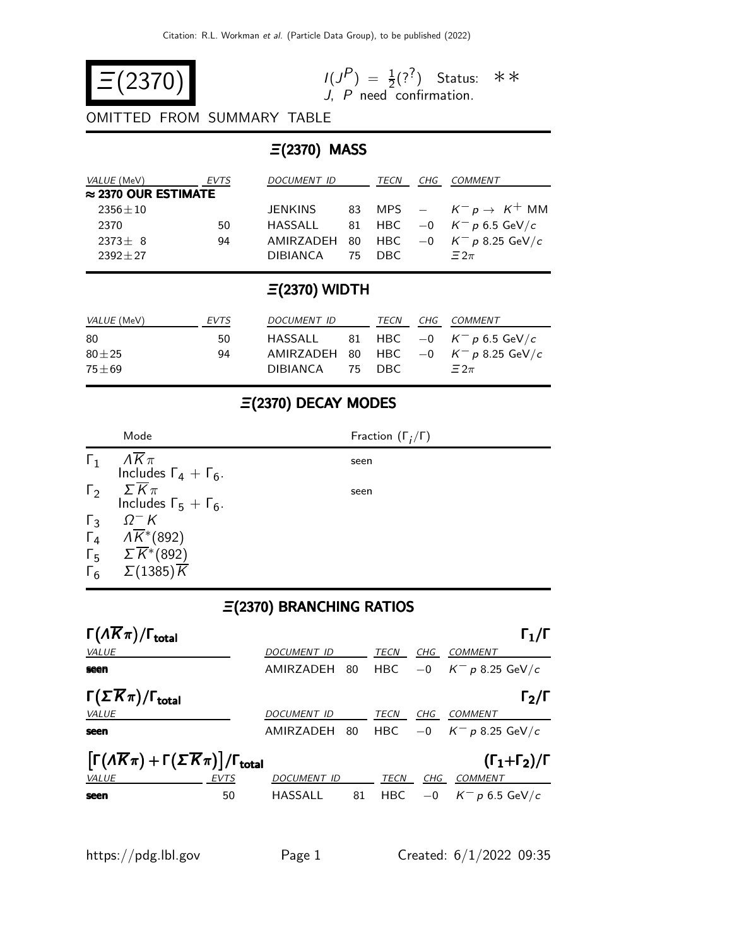

 $\binom{P}{1} = \frac{1}{2} (?^?)$ J, P need confirmation. Status: ∗∗

OMITTED FROM SUMMARY TABLE

#### Ξ(2370) MASS

| <i>VALUE</i> (MeV)          | EVTS | DOCUMENT ID | TECN    | CHG | <i>COMMENT</i>                           |
|-----------------------------|------|-------------|---------|-----|------------------------------------------|
| $\approx$ 2370 OUR ESTIMATE |      |             |         |     |                                          |
| $2356 \pm 10$               |      | JENKINS     |         |     | 83 MPS $ K^- p \rightarrow K^+$ MM       |
| 2370                        | 50   | HASSALL     |         |     | 81 HBC $-0$ $K^- p 6.5$ GeV/c            |
| $2373+8$                    | 94   |             |         |     | AMIRZADEH 80 HBC $-0$ $K^- p$ 8.25 GeV/c |
| $2392 + 27$                 |      | DIBIANCA    | -75 DBC |     | $\Xi$ 2 $\pi$                            |

### Ξ(2370) WIDTH

| <i>VALUE</i> (MeV) | EVTS | <i>DOCUMENT ID</i> | TECN | CHG COMMENT                              |
|--------------------|------|--------------------|------|------------------------------------------|
| 80                 | 50.  |                    |      | HASSALL 81 HBC $-0$ $K^- p 6.5$ GeV/c    |
| $80 \pm 25$        | 94   |                    |      | AMIRZADEH 80 HBC $-0$ $K^- p$ 8.25 GeV/c |
| $75 + 69$          |      | DIBIANCA 75 DBC    |      | $\Xi 2\pi$                               |

## Ξ(2370) DECAY MODES

|              | Mode                                                           | Fraction $(\Gamma_i/\Gamma)$ |
|--------------|----------------------------------------------------------------|------------------------------|
| $\Gamma_1$   | $\Lambda \overline{K} \pi$<br>Includes $\Gamma_4 + \Gamma_6$ . | seen                         |
| $\Gamma_{2}$ | $\Sigma \overline{K} \pi$<br>Includes $\Gamma_5 + \Gamma_6$ .  | seen                         |
| $\Gamma_3$   | $\Omega^-$ K                                                   |                              |
|              | $\Gamma_4$ $\Lambda \overline{K}$ (892)                        |                              |
|              | $\Gamma_5$ $\Sigma \overline{K}$ *(892)                        |                              |
| $\Gamma_6$   | $\Sigma(1385)\overline{K}$                                     |                              |

## Ξ(2370) BRANCHING RATIOS

| $\Gamma(\Lambda \overline{K}\pi)/\Gamma_{\rm total}$                                                                                    |             |                    |    |             |            | $\mathsf{\Gamma}_1/\mathsf{\Gamma}$ |  |
|-----------------------------------------------------------------------------------------------------------------------------------------|-------------|--------------------|----|-------------|------------|-------------------------------------|--|
| VALUE                                                                                                                                   |             | <b>DOCUMENT ID</b> |    | TECN        | CHG        | <b>COMMENT</b>                      |  |
| seen                                                                                                                                    |             | AMIRZADEH          | 80 | <b>HBC</b>  | $-0$       | $K^-$ p 8.25 GeV/c                  |  |
| $\Gamma(\Sigma \overline{K}\pi)/\Gamma_{\rm total}$                                                                                     |             |                    |    |             |            | $\mathsf{\Gamma}_2/\mathsf{\Gamma}$ |  |
| <b>VALUE</b>                                                                                                                            |             | DOCUMENT ID        |    | TECN        | CHG        | <b>COMMENT</b>                      |  |
| seen                                                                                                                                    |             | AMIRZADEH          | 80 | <b>HBC</b>  | $-0$       | $K^-$ p 8.25 GeV/c                  |  |
| $\left[\Gamma(\Lambda \overline{K}\pi) + \Gamma(\Sigma \overline{K}\pi)\right] / \Gamma_{\text{total}}$<br>$(\Gamma_1+\Gamma_2)/\Gamma$ |             |                    |    |             |            |                                     |  |
| <b>VALUE</b>                                                                                                                            | <b>EVTS</b> | <b>DOCUMENT ID</b> |    | <b>TECN</b> | <b>CHG</b> | <b>COMMENT</b>                      |  |
| seen                                                                                                                                    | 50          | HASSALL            | 81 | <b>HBC</b>  | $-0$       | $K^-$ p 6.5 GeV/c                   |  |
|                                                                                                                                         |             |                    |    |             |            |                                     |  |